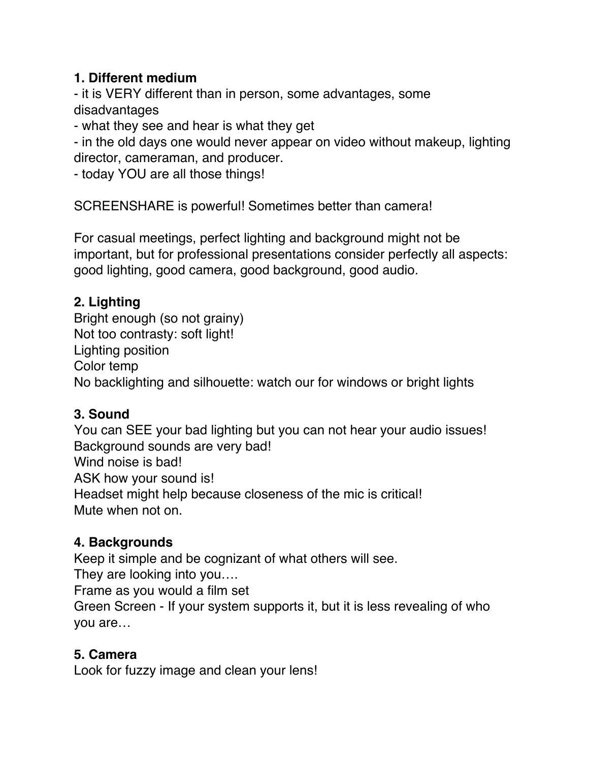### **1. Different medium**

- it is VERY different than in person, some advantages, some disadvantages

- what they see and hear is what they get

- in the old days one would never appear on video without makeup, lighting director, cameraman, and producer.

- today YOU are all those things!

SCREENSHARE is powerful! Sometimes better than camera!

For casual meetings, perfect lighting and background might not be important, but for professional presentations consider perfectly all aspects: good lighting, good camera, good background, good audio.

### **2. Lighting**

Bright enough (so not grainy) Not too contrasty: soft light! Lighting position Color temp No backlighting and silhouette: watch our for windows or bright lights

# **3. Sound**

You can SEE your bad lighting but you can not hear your audio issues! Background sounds are very bad! Wind noise is bad! ASK how your sound is! Headset might help because closeness of the mic is critical! Mute when not on.

### **4. Backgrounds**

Keep it simple and be cognizant of what others will see. They are looking into you…. Frame as you would a film set

Green Screen - If your system supports it, but it is less revealing of who you are…

### **5. Camera**

Look for fuzzy image and clean your lens!